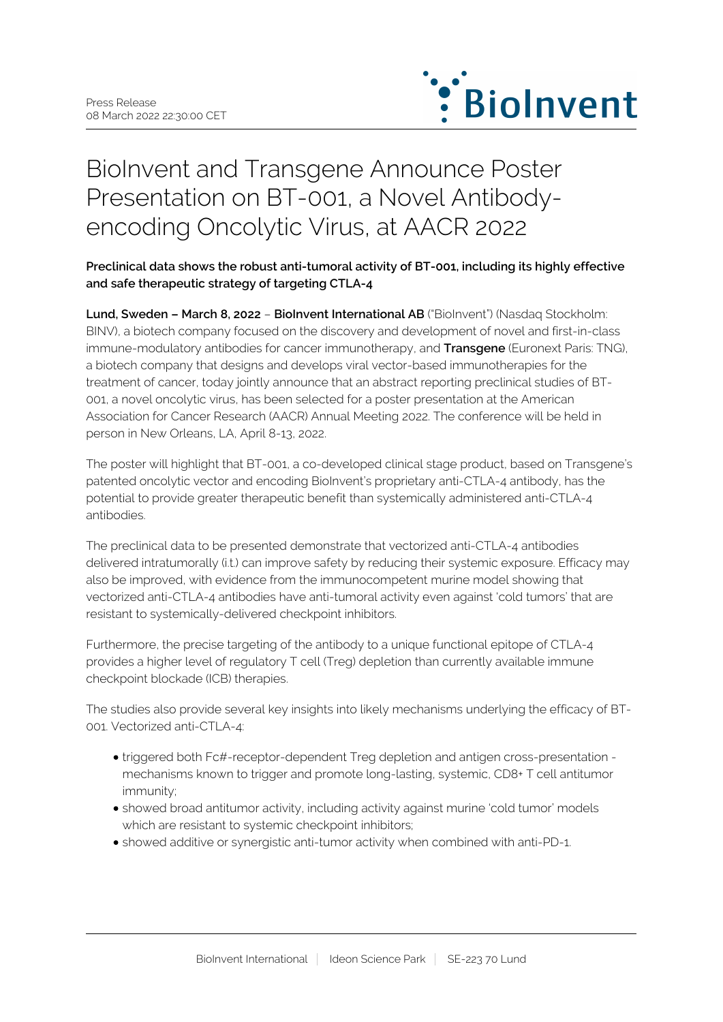

# BioInvent and Transgene Announce Poster Presentation on BT-001, a Novel Antibodyencoding Oncolytic Virus, at AACR 2022

**Preclinical data shows the robust anti-tumoral activity of BT-001, including its highly effective and safe therapeutic strategy of targeting CTLA-4**

**Lund, Sweden – March 8, 2022** – **BioInvent International AB** ("BioInvent") (Nasdaq Stockholm: BINV), a biotech company focused on the discovery and development of novel and first-in-class immune-modulatory antibodies for cancer immunotherapy, and **Transgene** (Euronext Paris: TNG), a biotech company that designs and develops viral vector-based immunotherapies for the treatment of cancer, today jointly announce that an abstract reporting preclinical studies of BT-001, a novel oncolytic virus, has been selected for a poster presentation at the American Association for Cancer Research (AACR) Annual Meeting 2022. The conference will be held in person in New Orleans, LA, April 8-13, 2022.

The poster will highlight that BT-001, a co-developed clinical stage product, based on Transgene's patented oncolytic vector and encoding BioInvent's proprietary anti-CTLA-4 antibody, has the potential to provide greater therapeutic benefit than systemically administered anti-CTLA-4 antibodies.

The preclinical data to be presented demonstrate that vectorized anti-CTLA-4 antibodies delivered intratumorally (i.t.) can improve safety by reducing their systemic exposure. Efficacy may also be improved, with evidence from the immunocompetent murine model showing that vectorized anti-CTLA-4 antibodies have anti-tumoral activity even against 'cold tumors' that are resistant to systemically-delivered checkpoint inhibitors.

Furthermore, the precise targeting of the antibody to a unique functional epitope of CTLA-4 provides a higher level of regulatory T cell (Treg) depletion than currently available immune checkpoint blockade (ICB) therapies.

The studies also provide several key insights into likely mechanisms underlying the efficacy of BT-001. Vectorized anti-CTLA-4:

- triggered both Fc#-receptor-dependent Treg depletion and antigen cross-presentation mechanisms known to trigger and promote long-lasting, systemic, CD8+ T cell antitumor immunity;
- showed broad antitumor activity, including activity against murine 'cold tumor' models which are resistant to systemic checkpoint inhibitors;
- showed additive or synergistic anti-tumor activity when combined with anti-PD-1.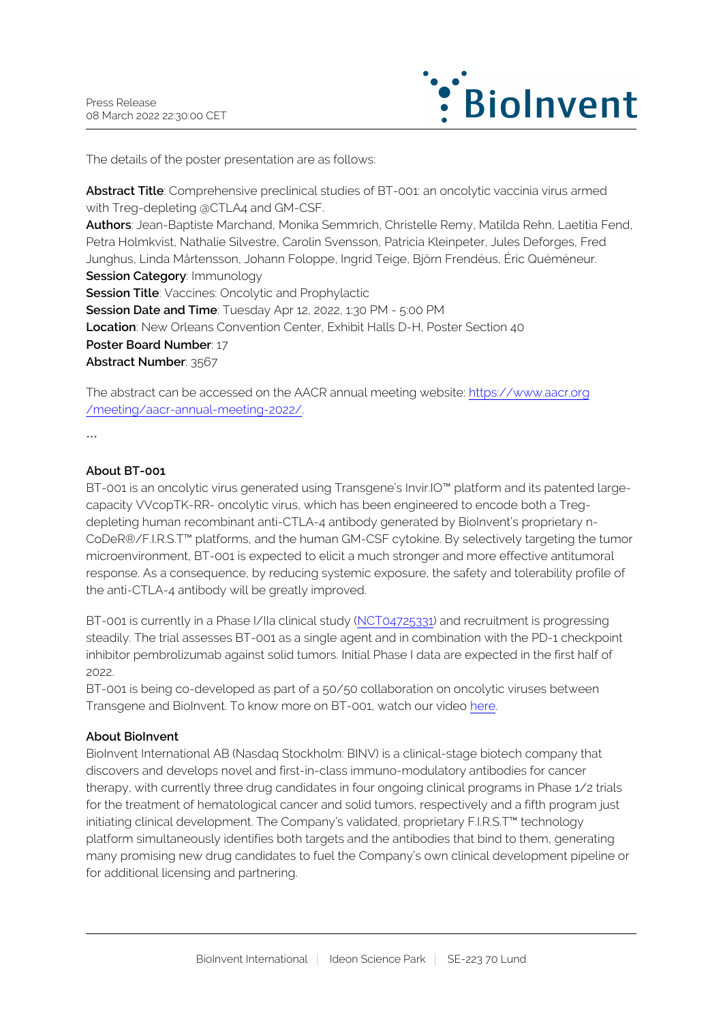

The details of the poster presentation are as follows:

**Abstract Title**: Comprehensive preclinical studies of BT-001: an oncolytic vaccinia virus armed with Treg-depleting @CTLA4 and GM-CSF. **Authors**: Jean-Baptiste Marchand, Monika Semmrich, Christelle Remy, Matilda Rehn, Laetitia Fend, Petra Holmkvist, Nathalie Silvestre, Carolin Svensson, Patricia Kleinpeter, Jules Deforges, Fred Junghus, Linda Mårtensson, Johann Foloppe, Ingrid Teige, Björn Frendéus, Éric Quéméneur. **Session Category: Immunology Session Title:** Vaccines: Oncolytic and Prophylactic **Session Date and Time**: Tuesday Apr 12, 2022, 1:30 PM - 5:00 PM **Location**: New Orleans Convention Center, Exhibit Halls D-H, Poster Section 40 **Poster Board Number**: 17 **Abstract Number**: 3567

The abstract can be accessed on the AACR annual meeting website: [https://www.aacr.org](https://www.aacr.org/meeting/aacr-annual-meeting-2022/) [/meeting/aacr-annual-meeting-2022/.](https://www.aacr.org/meeting/aacr-annual-meeting-2022/)

\*\*\*

## **About BT-001**

BT-001 is an oncolytic virus generated using Transgene's Invir.IO™ platform and its patented largecapacity VVcopTK-RR- oncolytic virus, which has been engineered to encode both a Tregdepleting human recombinant anti-CTLA-4 antibody generated by BioInvent's proprietary n-CoDeR®/F.I.R.S.T™ platforms, and the human GM-CSF cytokine. By selectively targeting the tumor microenvironment, BT-001 is expected to elicit a much stronger and more effective antitumoral response. As a consequence, by reducing systemic exposure, the safety and tolerability profile of the anti-CTLA-4 antibody will be greatly improved.

BT-001 is currently in a Phase I/IIa clinical study [\(NCT04725331](https://www.clinicaltrials.gov/ct2/show/NCT04725331)) and recruitment is progressing steadily. The trial assesses BT-001 as a single agent and in combination with the PD-1 checkpoint inhibitor pembrolizumab against solid tumors. Initial Phase I data are expected in the first half of 2022.

BT-001 is being co-developed as part of a 50/50 collaboration on oncolytic viruses between Transgene and BioInvent. To know more on BT-001, watch our video [here](https://player.vimeo.com/video/615829710).

### **About BioInvent**

BioInvent International AB (Nasdaq Stockholm: BINV) is a clinical-stage biotech company that discovers and develops novel and first-in-class immuno-modulatory antibodies for cancer therapy, with currently three drug candidates in four ongoing clinical programs in Phase 1/2 trials for the treatment of hematological cancer and solid tumors, respectively and a fifth program just initiating clinical development. The Company's validated, proprietary F.I.R.S.T™ technology platform simultaneously identifies both targets and the antibodies that bind to them, generating many promising new drug candidates to fuel the Company's own clinical development pipeline or for additional licensing and partnering.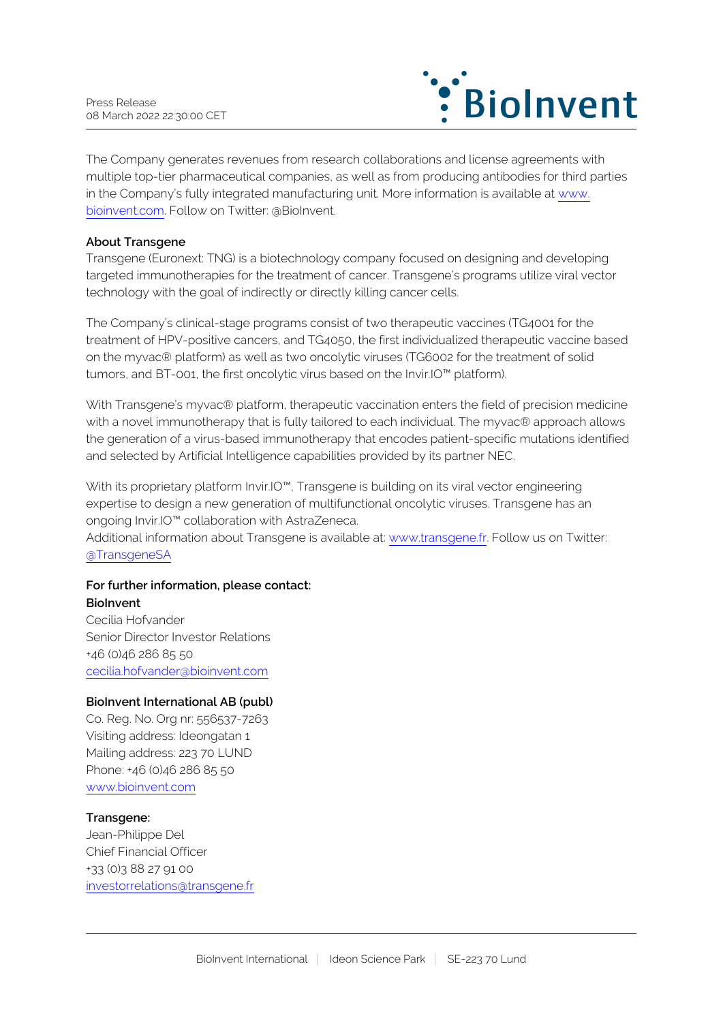

The Company generates revenues from research collaborations and license agreements with multiple top-tier pharmaceutical companies, as well as from producing antibodies for third parties in the Company's fully integrated manufacturing unit. More information is available at [www.](http://www.bioinvent.com/) [bioinvent.com](http://www.bioinvent.com/). Follow on Twitter: @BioInvent.

### **About Transgene**

Transgene (Euronext: TNG) is a biotechnology company focused on designing and developing targeted immunotherapies for the treatment of cancer. Transgene's programs utilize viral vector technology with the goal of indirectly or directly killing cancer cells.

The Company's clinical-stage programs consist of two therapeutic vaccines (TG4001 for the treatment of HPV-positive cancers, and TG4050, the first individualized therapeutic vaccine based on the myvac® platform) as well as two oncolytic viruses (TG6002 for the treatment of solid tumors, and BT-001, the first oncolytic virus based on the Invir.IO™ platform).

With Transgene's myvac® platform, therapeutic vaccination enters the field of precision medicine with a novel immunotherapy that is fully tailored to each individual. The myvac® approach allows the generation of a virus-based immunotherapy that encodes patient-specific mutations identified and selected by Artificial Intelligence capabilities provided by its partner NEC.

With its proprietary platform Invir.IO<sup>™</sup>, Transgene is building on its viral vector engineering expertise to design a new generation of multifunctional oncolytic viruses. Transgene has an ongoing Invir.IO™ collaboration with AstraZeneca.

Additional information about Transgene is available at: [www.transgene.fr.](http://www.transgene.fr/) Follow us on Twitter: [@TransgeneSA](https://twitter.com/transgenesa)

#### **For further information, please contact: BioInvent**

Cecilia Hofvander Senior Director Investor Relations +46 (0)46 286 85 50 [cecilia.hofvander@bioinvent.com](mailto:cecilia.hofvander@bioinvent.com)

#### **BioInvent International AB (publ)**

Co. Reg. No. Org nr: 556537-7263 Visiting address: Ideongatan 1 Mailing address: 223 70 LUND Phone: +46 (0)46 286 85 50 [www.bioinvent.com](http://www.bioinvent.com/)

# **Transgene:**

Jean-Philippe Del Chief Financial Officer +33 (0)3 88 27 91 00 [investorrelations@transgene.fr](mailto:investorrelations@transgene.fr)